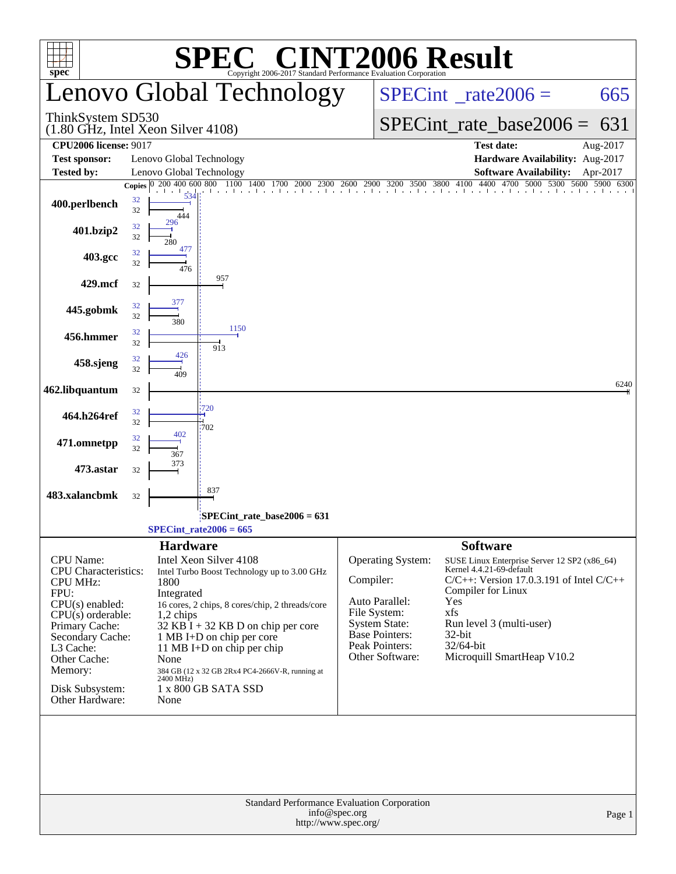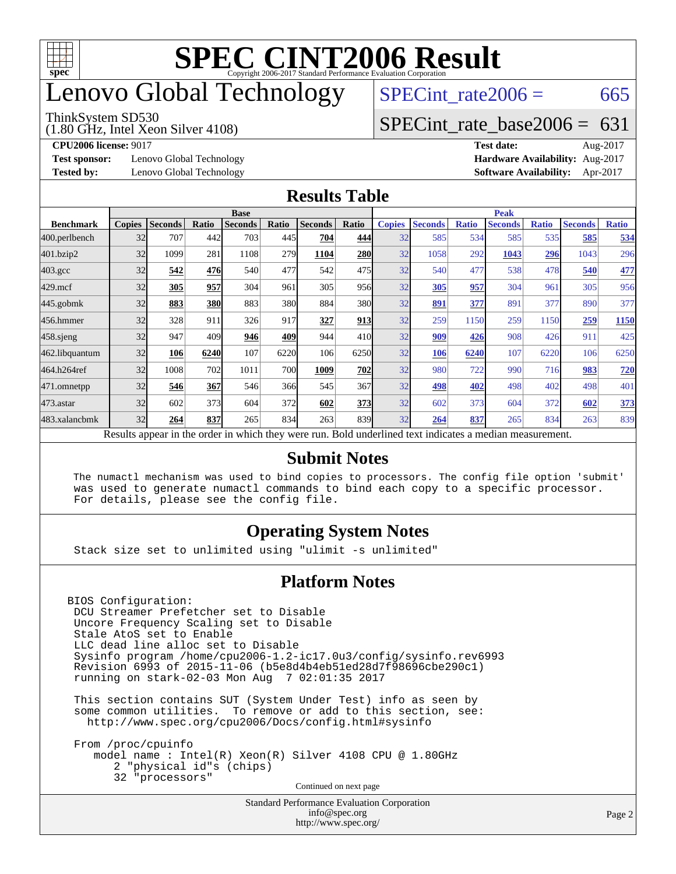

### enovo Global Technology

#### ThinkSystem SD530

(1.80 GHz, Intel Xeon Silver 4108)

 $SPECTnt_rate2006 = 665$ 

#### [SPECint\\_rate\\_base2006 =](http://www.spec.org/auto/cpu2006/Docs/result-fields.html#SPECintratebase2006) 631

**[Test sponsor:](http://www.spec.org/auto/cpu2006/Docs/result-fields.html#Testsponsor)** Lenovo Global Technology **[Hardware Availability:](http://www.spec.org/auto/cpu2006/Docs/result-fields.html#HardwareAvailability)** Aug-2017

**[CPU2006 license:](http://www.spec.org/auto/cpu2006/Docs/result-fields.html#CPU2006license)** 9017 **[Test date:](http://www.spec.org/auto/cpu2006/Docs/result-fields.html#Testdate)** Aug-2017 **[Tested by:](http://www.spec.org/auto/cpu2006/Docs/result-fields.html#Testedby)** Lenovo Global Technology **[Software Availability:](http://www.spec.org/auto/cpu2006/Docs/result-fields.html#SoftwareAvailability)** Apr-2017

#### **[Results Table](http://www.spec.org/auto/cpu2006/Docs/result-fields.html#ResultsTable)**

|                    | <b>Base</b>   |                |       |                                                                                                          |       |                |                 | <b>Peak</b>   |                |              |                |              |                |              |
|--------------------|---------------|----------------|-------|----------------------------------------------------------------------------------------------------------|-------|----------------|-----------------|---------------|----------------|--------------|----------------|--------------|----------------|--------------|
| <b>Benchmark</b>   | <b>Copies</b> | <b>Seconds</b> | Ratio | <b>Seconds</b>                                                                                           | Ratio | <b>Seconds</b> | Ratio           | <b>Copies</b> | <b>Seconds</b> | <b>Ratio</b> | <b>Seconds</b> | <b>Ratio</b> | <b>Seconds</b> | <b>Ratio</b> |
| 400.perlbench      | 32            | 707            | 442   | 703                                                                                                      | 445I  | 704            | 444             | 32            | 585            | 534          | 585            | 535          | 585            | 534          |
| 401.bzip2          | 32            | 1099           | 281   | 1108                                                                                                     | 279   | 1104           | 280             | 32            | 1058           | 292          | 1043           | <u>296</u>   | 1043           | 296          |
| $403.\mathrm{gcc}$ | 32            | 542            | 476   | 540                                                                                                      | 477   | 542            | 475             | 32            | 540            | 477          | 538            | 478          | 540            | 477          |
| $429$ .mcf         | 32            | 305            | 957   | 304                                                                                                      | 961   | 305            | 956             | 32            | 305            | 957          | 304            | 961          | 305            | 956          |
| $445$ .gobmk       | 32            | 883            | 380   | 883                                                                                                      | 380   | 884            | 380             | 32            | 891            | 377          | 891            | 377          | 890            | 377          |
| 456.hmmer          | 32            | 328            | 911   | 326                                                                                                      | 917   | 327            | 913             | 32            | 259            | 1150         | 259            | 1150         | 259            | 1150         |
| $458$ .sjeng       | 32            | 947            | 409   | 946                                                                                                      | 409   | 944            | 41 <sub>0</sub> | 32            | 909            | 426          | 908            | 426          | 911            | 425          |
| 462.libquantum     | 32            | 106            | 6240  | 107                                                                                                      | 6220  | 106            | 6250            | 32            | <b>106</b>     | 6240         | 107            | 6220         | 106            | 6250         |
| 464.h264ref        | 32            | 1008           | 702   | 1011                                                                                                     | 700   | 1009           | 702             | 32            | 980            | 722          | 990            | 716          | 983            | <b>720</b>   |
| 471.omnetpp        | 32            | 546            | 367   | 546                                                                                                      | 366   | 545            | 367             | 32            | 498            | 402          | 498            | 402          | 498            | 401          |
| $473$ . astar      | 32            | 602            | 373   | 604                                                                                                      | 372   | 602            | 373             | 32            | 602            | 373          | 604            | 372          | 602            | 373          |
| 483.xalancbmk      | 32            | 264            | 837   | 265                                                                                                      | 834   | 263            | 839             | 32            | 264            | 837          | 265            | 834          | 263            | 839          |
|                    |               |                |       | Results appear in the order in which they were run. Bold underlined text indicates a median measurement. |       |                |                 |               |                |              |                |              |                |              |

#### **[Submit Notes](http://www.spec.org/auto/cpu2006/Docs/result-fields.html#SubmitNotes)**

 The numactl mechanism was used to bind copies to processors. The config file option 'submit' was used to generate numactl commands to bind each copy to a specific processor. For details, please see the config file.

#### **[Operating System Notes](http://www.spec.org/auto/cpu2006/Docs/result-fields.html#OperatingSystemNotes)**

Stack size set to unlimited using "ulimit -s unlimited"

#### **[Platform Notes](http://www.spec.org/auto/cpu2006/Docs/result-fields.html#PlatformNotes)**

BIOS Configuration: DCU Streamer Prefetcher set to Disable Uncore Frequency Scaling set to Disable Stale AtoS set to Enable LLC dead line alloc set to Disable Sysinfo program /home/cpu2006-1.2-ic17.0u3/config/sysinfo.rev6993 Revision 6993 of 2015-11-06 (b5e8d4b4eb51ed28d7f98696cbe290c1) running on stark-02-03 Mon Aug 7 02:01:35 2017

 This section contains SUT (System Under Test) info as seen by some common utilities. To remove or add to this section, see: <http://www.spec.org/cpu2006/Docs/config.html#sysinfo>

 From /proc/cpuinfo model name : Intel(R) Xeon(R) Silver 4108 CPU @ 1.80GHz 2 "physical id"s (chips) 32 "processors" Continued on next page

> Standard Performance Evaluation Corporation [info@spec.org](mailto:info@spec.org) <http://www.spec.org/>

Page 2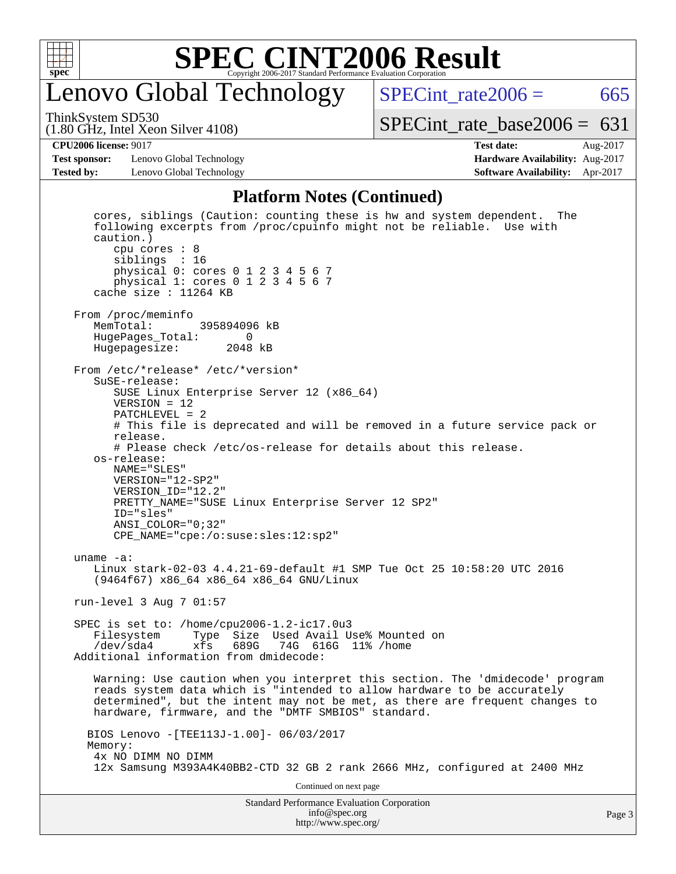

### enovo Global Technology

SPECint\_rate $2006 = 665$ [SPECint\\_rate\\_base2006 =](http://www.spec.org/auto/cpu2006/Docs/result-fields.html#SPECintratebase2006)  $631$ 

(1.80 GHz, Intel Xeon Silver 4108) ThinkSystem SD530

**[Test sponsor:](http://www.spec.org/auto/cpu2006/Docs/result-fields.html#Testsponsor)** Lenovo Global Technology **[Hardware Availability:](http://www.spec.org/auto/cpu2006/Docs/result-fields.html#HardwareAvailability)** Aug-2017 **[Tested by:](http://www.spec.org/auto/cpu2006/Docs/result-fields.html#Testedby)** Lenovo Global Technology **[Software Availability:](http://www.spec.org/auto/cpu2006/Docs/result-fields.html#SoftwareAvailability)** Apr-2017

# **[CPU2006 license:](http://www.spec.org/auto/cpu2006/Docs/result-fields.html#CPU2006license)** 9017 **[Test date:](http://www.spec.org/auto/cpu2006/Docs/result-fields.html#Testdate)** Aug-2017

**[Platform Notes \(Continued\)](http://www.spec.org/auto/cpu2006/Docs/result-fields.html#PlatformNotes)**

Standard Performance Evaluation Corporation [info@spec.org](mailto:info@spec.org) cores, siblings (Caution: counting these is hw and system dependent. The following excerpts from /proc/cpuinfo might not be reliable. Use with caution.) cpu cores : 8 siblings : 16 physical 0: cores 0 1 2 3 4 5 6 7 physical 1: cores 0 1 2 3 4 5 6 7 cache size : 11264 KB From /proc/meminfo<br>MemTotal: 395894096 kB HugePages\_Total: 0 Hugepagesize: 2048 kB From /etc/\*release\* /etc/\*version\* SuSE-release: SUSE Linux Enterprise Server 12 (x86\_64) VERSION = 12 PATCHLEVEL = 2 # This file is deprecated and will be removed in a future service pack or release. # Please check /etc/os-release for details about this release. os-release: NAME="SLES" VERSION="12-SP2" VERSION\_ID="12.2" PRETTY\_NAME="SUSE Linux Enterprise Server 12 SP2" ID="sles" ANSI\_COLOR="0;32" CPE\_NAME="cpe:/o:suse:sles:12:sp2" uname -a: Linux stark-02-03 4.4.21-69-default #1 SMP Tue Oct 25 10:58:20 UTC 2016 (9464f67) x86\_64 x86\_64 x86\_64 GNU/Linux run-level 3 Aug 7 01:57 SPEC is set to: /home/cpu2006-1.2-ic17.0u3 Type Size Used Avail Use% Mounted on /dev/sda4 xfs 689G 74G 616G 11% /home Additional information from dmidecode: Warning: Use caution when you interpret this section. The 'dmidecode' program reads system data which is "intended to allow hardware to be accurately determined", but the intent may not be met, as there are frequent changes to hardware, firmware, and the "DMTF SMBIOS" standard. BIOS Lenovo -[TEE113J-1.00]- 06/03/2017 Memory: 4x NO DIMM NO DIMM 12x Samsung M393A4K40BB2-CTD 32 GB 2 rank 2666 MHz, configured at 2400 MHz Continued on next page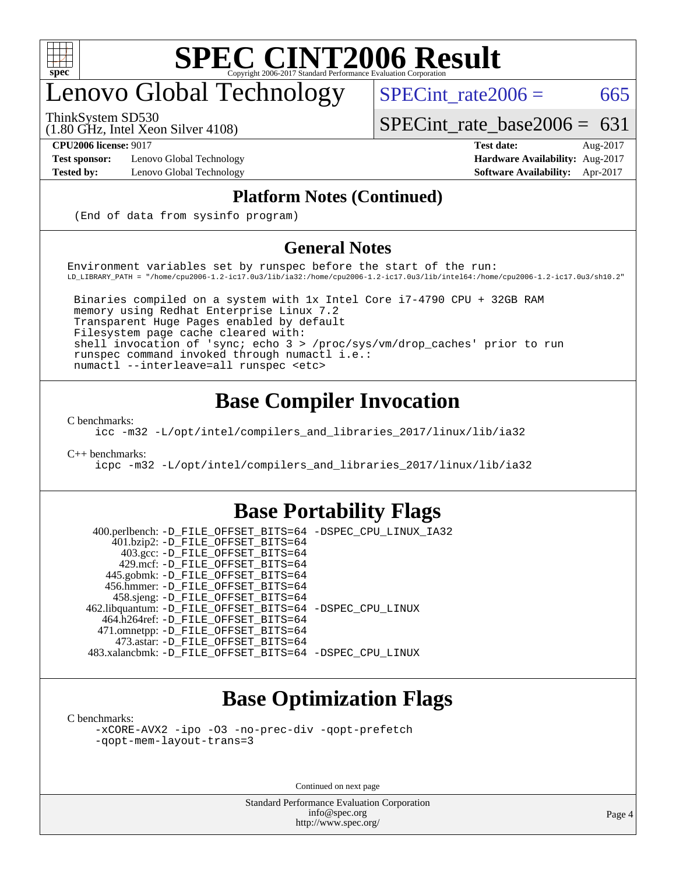

# enovo Global Technology

ThinkSystem SD530

 $SPECTnt_rate2006 = 665$ 

[SPECint\\_rate\\_base2006 =](http://www.spec.org/auto/cpu2006/Docs/result-fields.html#SPECintratebase2006)  $631$ 

**[Test sponsor:](http://www.spec.org/auto/cpu2006/Docs/result-fields.html#Testsponsor)** Lenovo Global Technology **[Hardware Availability:](http://www.spec.org/auto/cpu2006/Docs/result-fields.html#HardwareAvailability)** Aug-2017

(1.80 GHz, Intel Xeon Silver 4108)

**[CPU2006 license:](http://www.spec.org/auto/cpu2006/Docs/result-fields.html#CPU2006license)** 9017 **[Test date:](http://www.spec.org/auto/cpu2006/Docs/result-fields.html#Testdate)** Aug-2017 **[Tested by:](http://www.spec.org/auto/cpu2006/Docs/result-fields.html#Testedby)** Lenovo Global Technology **[Software Availability:](http://www.spec.org/auto/cpu2006/Docs/result-fields.html#SoftwareAvailability)** Apr-2017

#### **[Platform Notes \(Continued\)](http://www.spec.org/auto/cpu2006/Docs/result-fields.html#PlatformNotes)**

(End of data from sysinfo program)

#### **[General Notes](http://www.spec.org/auto/cpu2006/Docs/result-fields.html#GeneralNotes)**

Environment variables set by runspec before the start of the run: LD\_LIBRARY\_PATH = "/home/cpu2006-1.2-ic17.0u3/lib/ia32:/home/cpu2006-1.2-ic17.0u3/lib/intel64:/home/cpu2006-1.2-ic17.0u3/sh10.2"

 Binaries compiled on a system with 1x Intel Core i7-4790 CPU + 32GB RAM memory using Redhat Enterprise Linux 7.2 Transparent Huge Pages enabled by default Filesystem page cache cleared with: shell invocation of 'sync; echo 3 > /proc/sys/vm/drop\_caches' prior to run runspec command invoked through numactl i.e.: numactl --interleave=all runspec <etc>

#### **[Base Compiler Invocation](http://www.spec.org/auto/cpu2006/Docs/result-fields.html#BaseCompilerInvocation)**

[C benchmarks](http://www.spec.org/auto/cpu2006/Docs/result-fields.html#Cbenchmarks):

[icc -m32 -L/opt/intel/compilers\\_and\\_libraries\\_2017/linux/lib/ia32](http://www.spec.org/cpu2006/results/res2017q4/cpu2006-20170918-49600.flags.html#user_CCbase_intel_icc_c29f3ff5a7ed067b11e4ec10a03f03ae)

[C++ benchmarks:](http://www.spec.org/auto/cpu2006/Docs/result-fields.html#CXXbenchmarks)

[icpc -m32 -L/opt/intel/compilers\\_and\\_libraries\\_2017/linux/lib/ia32](http://www.spec.org/cpu2006/results/res2017q4/cpu2006-20170918-49600.flags.html#user_CXXbase_intel_icpc_8c35c7808b62dab9ae41a1aa06361b6b)

#### **[Base Portability Flags](http://www.spec.org/auto/cpu2006/Docs/result-fields.html#BasePortabilityFlags)**

 400.perlbench: [-D\\_FILE\\_OFFSET\\_BITS=64](http://www.spec.org/cpu2006/results/res2017q4/cpu2006-20170918-49600.flags.html#user_basePORTABILITY400_perlbench_file_offset_bits_64_438cf9856305ebd76870a2c6dc2689ab) [-DSPEC\\_CPU\\_LINUX\\_IA32](http://www.spec.org/cpu2006/results/res2017q4/cpu2006-20170918-49600.flags.html#b400.perlbench_baseCPORTABILITY_DSPEC_CPU_LINUX_IA32) 401.bzip2: [-D\\_FILE\\_OFFSET\\_BITS=64](http://www.spec.org/cpu2006/results/res2017q4/cpu2006-20170918-49600.flags.html#user_basePORTABILITY401_bzip2_file_offset_bits_64_438cf9856305ebd76870a2c6dc2689ab) 403.gcc: [-D\\_FILE\\_OFFSET\\_BITS=64](http://www.spec.org/cpu2006/results/res2017q4/cpu2006-20170918-49600.flags.html#user_basePORTABILITY403_gcc_file_offset_bits_64_438cf9856305ebd76870a2c6dc2689ab) 429.mcf: [-D\\_FILE\\_OFFSET\\_BITS=64](http://www.spec.org/cpu2006/results/res2017q4/cpu2006-20170918-49600.flags.html#user_basePORTABILITY429_mcf_file_offset_bits_64_438cf9856305ebd76870a2c6dc2689ab) 445.gobmk: [-D\\_FILE\\_OFFSET\\_BITS=64](http://www.spec.org/cpu2006/results/res2017q4/cpu2006-20170918-49600.flags.html#user_basePORTABILITY445_gobmk_file_offset_bits_64_438cf9856305ebd76870a2c6dc2689ab) 456.hmmer: [-D\\_FILE\\_OFFSET\\_BITS=64](http://www.spec.org/cpu2006/results/res2017q4/cpu2006-20170918-49600.flags.html#user_basePORTABILITY456_hmmer_file_offset_bits_64_438cf9856305ebd76870a2c6dc2689ab) 458.sjeng: [-D\\_FILE\\_OFFSET\\_BITS=64](http://www.spec.org/cpu2006/results/res2017q4/cpu2006-20170918-49600.flags.html#user_basePORTABILITY458_sjeng_file_offset_bits_64_438cf9856305ebd76870a2c6dc2689ab) 462.libquantum: [-D\\_FILE\\_OFFSET\\_BITS=64](http://www.spec.org/cpu2006/results/res2017q4/cpu2006-20170918-49600.flags.html#user_basePORTABILITY462_libquantum_file_offset_bits_64_438cf9856305ebd76870a2c6dc2689ab) [-DSPEC\\_CPU\\_LINUX](http://www.spec.org/cpu2006/results/res2017q4/cpu2006-20170918-49600.flags.html#b462.libquantum_baseCPORTABILITY_DSPEC_CPU_LINUX) 464.h264ref: [-D\\_FILE\\_OFFSET\\_BITS=64](http://www.spec.org/cpu2006/results/res2017q4/cpu2006-20170918-49600.flags.html#user_basePORTABILITY464_h264ref_file_offset_bits_64_438cf9856305ebd76870a2c6dc2689ab) 471.omnetpp: [-D\\_FILE\\_OFFSET\\_BITS=64](http://www.spec.org/cpu2006/results/res2017q4/cpu2006-20170918-49600.flags.html#user_basePORTABILITY471_omnetpp_file_offset_bits_64_438cf9856305ebd76870a2c6dc2689ab) 473.astar: [-D\\_FILE\\_OFFSET\\_BITS=64](http://www.spec.org/cpu2006/results/res2017q4/cpu2006-20170918-49600.flags.html#user_basePORTABILITY473_astar_file_offset_bits_64_438cf9856305ebd76870a2c6dc2689ab) 483.xalancbmk: [-D\\_FILE\\_OFFSET\\_BITS=64](http://www.spec.org/cpu2006/results/res2017q4/cpu2006-20170918-49600.flags.html#user_basePORTABILITY483_xalancbmk_file_offset_bits_64_438cf9856305ebd76870a2c6dc2689ab) [-DSPEC\\_CPU\\_LINUX](http://www.spec.org/cpu2006/results/res2017q4/cpu2006-20170918-49600.flags.html#b483.xalancbmk_baseCXXPORTABILITY_DSPEC_CPU_LINUX)

### **[Base Optimization Flags](http://www.spec.org/auto/cpu2006/Docs/result-fields.html#BaseOptimizationFlags)**

[C benchmarks](http://www.spec.org/auto/cpu2006/Docs/result-fields.html#Cbenchmarks):

[-xCORE-AVX2](http://www.spec.org/cpu2006/results/res2017q4/cpu2006-20170918-49600.flags.html#user_CCbase_f-xCORE-AVX2) [-ipo](http://www.spec.org/cpu2006/results/res2017q4/cpu2006-20170918-49600.flags.html#user_CCbase_f-ipo) [-O3](http://www.spec.org/cpu2006/results/res2017q4/cpu2006-20170918-49600.flags.html#user_CCbase_f-O3) [-no-prec-div](http://www.spec.org/cpu2006/results/res2017q4/cpu2006-20170918-49600.flags.html#user_CCbase_f-no-prec-div) [-qopt-prefetch](http://www.spec.org/cpu2006/results/res2017q4/cpu2006-20170918-49600.flags.html#user_CCbase_f-qopt-prefetch) [-qopt-mem-layout-trans=3](http://www.spec.org/cpu2006/results/res2017q4/cpu2006-20170918-49600.flags.html#user_CCbase_f-qopt-mem-layout-trans_170f5be61cd2cedc9b54468c59262d5d)

Continued on next page

Standard Performance Evaluation Corporation [info@spec.org](mailto:info@spec.org) <http://www.spec.org/>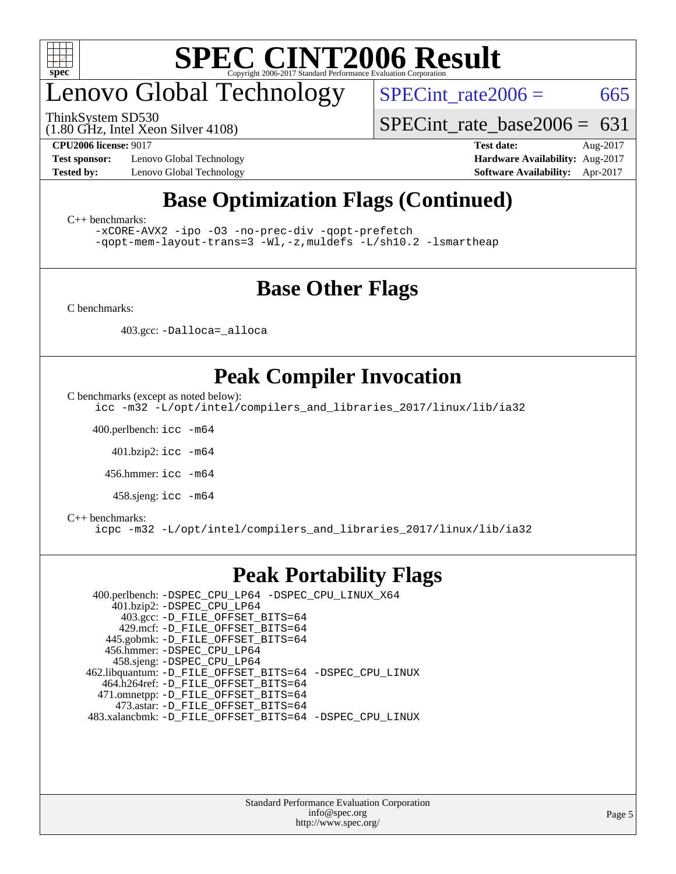

# enovo Global Technology

ThinkSystem SD530

 $SPECTnt_rate2006 = 665$ 

[SPECint\\_rate\\_base2006 =](http://www.spec.org/auto/cpu2006/Docs/result-fields.html#SPECintratebase2006)  $631$ 

(1.80 GHz, Intel Xeon Silver 4108)

**[Test sponsor:](http://www.spec.org/auto/cpu2006/Docs/result-fields.html#Testsponsor)** Lenovo Global Technology **[Hardware Availability:](http://www.spec.org/auto/cpu2006/Docs/result-fields.html#HardwareAvailability)** Aug-2017 **[Tested by:](http://www.spec.org/auto/cpu2006/Docs/result-fields.html#Testedby)** Lenovo Global Technology **[Software Availability:](http://www.spec.org/auto/cpu2006/Docs/result-fields.html#SoftwareAvailability)** Apr-2017

**[CPU2006 license:](http://www.spec.org/auto/cpu2006/Docs/result-fields.html#CPU2006license)** 9017 **[Test date:](http://www.spec.org/auto/cpu2006/Docs/result-fields.html#Testdate)** Aug-2017

### **[Base Optimization Flags \(Continued\)](http://www.spec.org/auto/cpu2006/Docs/result-fields.html#BaseOptimizationFlags)**

[C++ benchmarks:](http://www.spec.org/auto/cpu2006/Docs/result-fields.html#CXXbenchmarks)

[-xCORE-AVX2](http://www.spec.org/cpu2006/results/res2017q4/cpu2006-20170918-49600.flags.html#user_CXXbase_f-xCORE-AVX2) [-ipo](http://www.spec.org/cpu2006/results/res2017q4/cpu2006-20170918-49600.flags.html#user_CXXbase_f-ipo) [-O3](http://www.spec.org/cpu2006/results/res2017q4/cpu2006-20170918-49600.flags.html#user_CXXbase_f-O3) [-no-prec-div](http://www.spec.org/cpu2006/results/res2017q4/cpu2006-20170918-49600.flags.html#user_CXXbase_f-no-prec-div) [-qopt-prefetch](http://www.spec.org/cpu2006/results/res2017q4/cpu2006-20170918-49600.flags.html#user_CXXbase_f-qopt-prefetch) [-qopt-mem-layout-trans=3](http://www.spec.org/cpu2006/results/res2017q4/cpu2006-20170918-49600.flags.html#user_CXXbase_f-qopt-mem-layout-trans_170f5be61cd2cedc9b54468c59262d5d) [-Wl,-z,muldefs](http://www.spec.org/cpu2006/results/res2017q4/cpu2006-20170918-49600.flags.html#user_CXXbase_link_force_multiple1_74079c344b956b9658436fd1b6dd3a8a) [-L/sh10.2 -lsmartheap](http://www.spec.org/cpu2006/results/res2017q4/cpu2006-20170918-49600.flags.html#user_CXXbase_SmartHeap_b831f2d313e2fffa6dfe3f00ffc1f1c0)

#### **[Base Other Flags](http://www.spec.org/auto/cpu2006/Docs/result-fields.html#BaseOtherFlags)**

[C benchmarks](http://www.spec.org/auto/cpu2006/Docs/result-fields.html#Cbenchmarks):

403.gcc: [-Dalloca=\\_alloca](http://www.spec.org/cpu2006/results/res2017q4/cpu2006-20170918-49600.flags.html#b403.gcc_baseEXTRA_CFLAGS_Dalloca_be3056838c12de2578596ca5467af7f3)

#### **[Peak Compiler Invocation](http://www.spec.org/auto/cpu2006/Docs/result-fields.html#PeakCompilerInvocation)**

[C benchmarks \(except as noted below\)](http://www.spec.org/auto/cpu2006/Docs/result-fields.html#Cbenchmarksexceptasnotedbelow):

[icc -m32 -L/opt/intel/compilers\\_and\\_libraries\\_2017/linux/lib/ia32](http://www.spec.org/cpu2006/results/res2017q4/cpu2006-20170918-49600.flags.html#user_CCpeak_intel_icc_c29f3ff5a7ed067b11e4ec10a03f03ae)

400.perlbench: [icc -m64](http://www.spec.org/cpu2006/results/res2017q4/cpu2006-20170918-49600.flags.html#user_peakCCLD400_perlbench_intel_icc_64bit_bda6cc9af1fdbb0edc3795bac97ada53)

401.bzip2: [icc -m64](http://www.spec.org/cpu2006/results/res2017q4/cpu2006-20170918-49600.flags.html#user_peakCCLD401_bzip2_intel_icc_64bit_bda6cc9af1fdbb0edc3795bac97ada53)

456.hmmer: [icc -m64](http://www.spec.org/cpu2006/results/res2017q4/cpu2006-20170918-49600.flags.html#user_peakCCLD456_hmmer_intel_icc_64bit_bda6cc9af1fdbb0edc3795bac97ada53)

458.sjeng: [icc -m64](http://www.spec.org/cpu2006/results/res2017q4/cpu2006-20170918-49600.flags.html#user_peakCCLD458_sjeng_intel_icc_64bit_bda6cc9af1fdbb0edc3795bac97ada53)

#### [C++ benchmarks:](http://www.spec.org/auto/cpu2006/Docs/result-fields.html#CXXbenchmarks)

[icpc -m32 -L/opt/intel/compilers\\_and\\_libraries\\_2017/linux/lib/ia32](http://www.spec.org/cpu2006/results/res2017q4/cpu2006-20170918-49600.flags.html#user_CXXpeak_intel_icpc_8c35c7808b62dab9ae41a1aa06361b6b)

#### **[Peak Portability Flags](http://www.spec.org/auto/cpu2006/Docs/result-fields.html#PeakPortabilityFlags)**

 400.perlbench: [-DSPEC\\_CPU\\_LP64](http://www.spec.org/cpu2006/results/res2017q4/cpu2006-20170918-49600.flags.html#b400.perlbench_peakCPORTABILITY_DSPEC_CPU_LP64) [-DSPEC\\_CPU\\_LINUX\\_X64](http://www.spec.org/cpu2006/results/res2017q4/cpu2006-20170918-49600.flags.html#b400.perlbench_peakCPORTABILITY_DSPEC_CPU_LINUX_X64) 401.bzip2: [-DSPEC\\_CPU\\_LP64](http://www.spec.org/cpu2006/results/res2017q4/cpu2006-20170918-49600.flags.html#suite_peakCPORTABILITY401_bzip2_DSPEC_CPU_LP64) 403.gcc: [-D\\_FILE\\_OFFSET\\_BITS=64](http://www.spec.org/cpu2006/results/res2017q4/cpu2006-20170918-49600.flags.html#user_peakPORTABILITY403_gcc_file_offset_bits_64_438cf9856305ebd76870a2c6dc2689ab) 429.mcf: [-D\\_FILE\\_OFFSET\\_BITS=64](http://www.spec.org/cpu2006/results/res2017q4/cpu2006-20170918-49600.flags.html#user_peakPORTABILITY429_mcf_file_offset_bits_64_438cf9856305ebd76870a2c6dc2689ab) 445.gobmk: [-D\\_FILE\\_OFFSET\\_BITS=64](http://www.spec.org/cpu2006/results/res2017q4/cpu2006-20170918-49600.flags.html#user_peakPORTABILITY445_gobmk_file_offset_bits_64_438cf9856305ebd76870a2c6dc2689ab) 456.hmmer: [-DSPEC\\_CPU\\_LP64](http://www.spec.org/cpu2006/results/res2017q4/cpu2006-20170918-49600.flags.html#suite_peakCPORTABILITY456_hmmer_DSPEC_CPU_LP64) 458.sjeng: [-DSPEC\\_CPU\\_LP64](http://www.spec.org/cpu2006/results/res2017q4/cpu2006-20170918-49600.flags.html#suite_peakCPORTABILITY458_sjeng_DSPEC_CPU_LP64) 462.libquantum: [-D\\_FILE\\_OFFSET\\_BITS=64](http://www.spec.org/cpu2006/results/res2017q4/cpu2006-20170918-49600.flags.html#user_peakPORTABILITY462_libquantum_file_offset_bits_64_438cf9856305ebd76870a2c6dc2689ab) [-DSPEC\\_CPU\\_LINUX](http://www.spec.org/cpu2006/results/res2017q4/cpu2006-20170918-49600.flags.html#b462.libquantum_peakCPORTABILITY_DSPEC_CPU_LINUX) 464.h264ref: [-D\\_FILE\\_OFFSET\\_BITS=64](http://www.spec.org/cpu2006/results/res2017q4/cpu2006-20170918-49600.flags.html#user_peakPORTABILITY464_h264ref_file_offset_bits_64_438cf9856305ebd76870a2c6dc2689ab) 471.omnetpp: [-D\\_FILE\\_OFFSET\\_BITS=64](http://www.spec.org/cpu2006/results/res2017q4/cpu2006-20170918-49600.flags.html#user_peakPORTABILITY471_omnetpp_file_offset_bits_64_438cf9856305ebd76870a2c6dc2689ab) 473.astar: [-D\\_FILE\\_OFFSET\\_BITS=64](http://www.spec.org/cpu2006/results/res2017q4/cpu2006-20170918-49600.flags.html#user_peakPORTABILITY473_astar_file_offset_bits_64_438cf9856305ebd76870a2c6dc2689ab) 483.xalancbmk: [-D\\_FILE\\_OFFSET\\_BITS=64](http://www.spec.org/cpu2006/results/res2017q4/cpu2006-20170918-49600.flags.html#user_peakPORTABILITY483_xalancbmk_file_offset_bits_64_438cf9856305ebd76870a2c6dc2689ab) [-DSPEC\\_CPU\\_LINUX](http://www.spec.org/cpu2006/results/res2017q4/cpu2006-20170918-49600.flags.html#b483.xalancbmk_peakCXXPORTABILITY_DSPEC_CPU_LINUX)

> Standard Performance Evaluation Corporation [info@spec.org](mailto:info@spec.org) <http://www.spec.org/>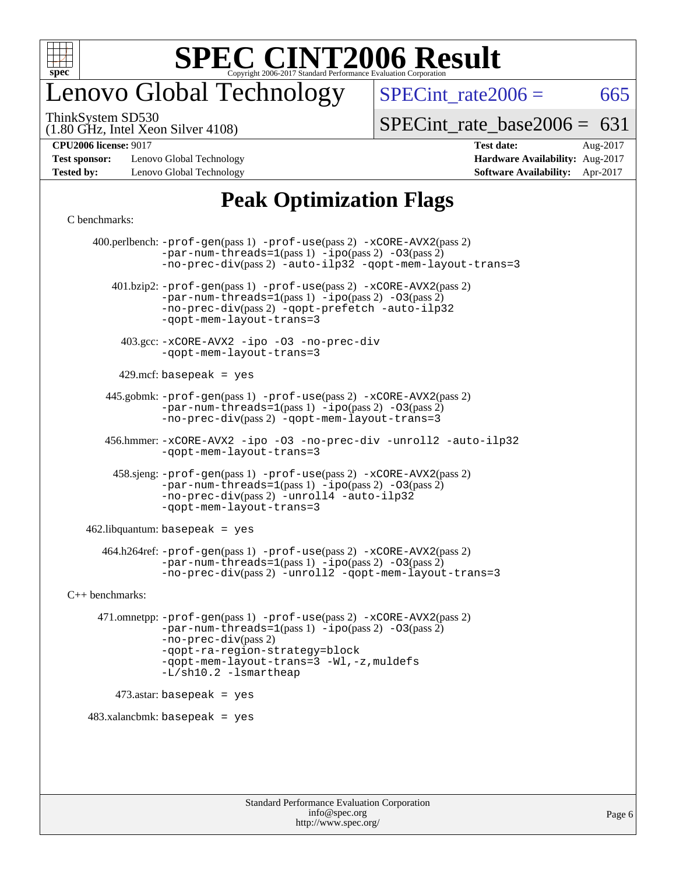

### enovo Global Technology

 $SPECTnt_rate2006 = 665$ 

(1.80 GHz, Intel Xeon Silver 4108) ThinkSystem SD530

[SPECint\\_rate\\_base2006 =](http://www.spec.org/auto/cpu2006/Docs/result-fields.html#SPECintratebase2006)  $631$ 

**[Test sponsor:](http://www.spec.org/auto/cpu2006/Docs/result-fields.html#Testsponsor)** Lenovo Global Technology **[Hardware Availability:](http://www.spec.org/auto/cpu2006/Docs/result-fields.html#HardwareAvailability)** Aug-2017 **[Tested by:](http://www.spec.org/auto/cpu2006/Docs/result-fields.html#Testedby)** Lenovo Global Technology **[Software Availability:](http://www.spec.org/auto/cpu2006/Docs/result-fields.html#SoftwareAvailability)** Apr-2017

# **[CPU2006 license:](http://www.spec.org/auto/cpu2006/Docs/result-fields.html#CPU2006license)** 9017 **[Test date:](http://www.spec.org/auto/cpu2006/Docs/result-fields.html#Testdate)** Aug-2017

### **[Peak Optimization Flags](http://www.spec.org/auto/cpu2006/Docs/result-fields.html#PeakOptimizationFlags)**

#### [C benchmarks](http://www.spec.org/auto/cpu2006/Docs/result-fields.html#Cbenchmarks):

 400.perlbench: [-prof-gen](http://www.spec.org/cpu2006/results/res2017q4/cpu2006-20170918-49600.flags.html#user_peakPASS1_CFLAGSPASS1_LDCFLAGS400_perlbench_prof_gen_e43856698f6ca7b7e442dfd80e94a8fc)(pass 1) [-prof-use](http://www.spec.org/cpu2006/results/res2017q4/cpu2006-20170918-49600.flags.html#user_peakPASS2_CFLAGSPASS2_LDCFLAGS400_perlbench_prof_use_bccf7792157ff70d64e32fe3e1250b55)(pass 2) [-xCORE-AVX2](http://www.spec.org/cpu2006/results/res2017q4/cpu2006-20170918-49600.flags.html#user_peakPASS2_CFLAGSPASS2_LDCFLAGS400_perlbench_f-xCORE-AVX2)(pass 2)  $-par-num-threads=1(pass 1) -ipo(pass 2) -O3(pass 2)$  $-par-num-threads=1(pass 1) -ipo(pass 2) -O3(pass 2)$  $-par-num-threads=1(pass 1) -ipo(pass 2) -O3(pass 2)$  $-par-num-threads=1(pass 1) -ipo(pass 2) -O3(pass 2)$  $-par-num-threads=1(pass 1) -ipo(pass 2) -O3(pass 2)$  $-par-num-threads=1(pass 1) -ipo(pass 2) -O3(pass 2)$ [-no-prec-div](http://www.spec.org/cpu2006/results/res2017q4/cpu2006-20170918-49600.flags.html#user_peakPASS2_CFLAGSPASS2_LDCFLAGS400_perlbench_f-no-prec-div)(pass 2) [-auto-ilp32](http://www.spec.org/cpu2006/results/res2017q4/cpu2006-20170918-49600.flags.html#user_peakCOPTIMIZE400_perlbench_f-auto-ilp32) [-qopt-mem-layout-trans=3](http://www.spec.org/cpu2006/results/res2017q4/cpu2006-20170918-49600.flags.html#user_peakCOPTIMIZE400_perlbench_f-qopt-mem-layout-trans_170f5be61cd2cedc9b54468c59262d5d) 401.bzip2: [-prof-gen](http://www.spec.org/cpu2006/results/res2017q4/cpu2006-20170918-49600.flags.html#user_peakPASS1_CFLAGSPASS1_LDCFLAGS401_bzip2_prof_gen_e43856698f6ca7b7e442dfd80e94a8fc)(pass 1) [-prof-use](http://www.spec.org/cpu2006/results/res2017q4/cpu2006-20170918-49600.flags.html#user_peakPASS2_CFLAGSPASS2_LDCFLAGS401_bzip2_prof_use_bccf7792157ff70d64e32fe3e1250b55)(pass 2) [-xCORE-AVX2](http://www.spec.org/cpu2006/results/res2017q4/cpu2006-20170918-49600.flags.html#user_peakPASS2_CFLAGSPASS2_LDCFLAGS401_bzip2_f-xCORE-AVX2)(pass 2) [-par-num-threads=1](http://www.spec.org/cpu2006/results/res2017q4/cpu2006-20170918-49600.flags.html#user_peakPASS1_CFLAGSPASS1_LDCFLAGS401_bzip2_par_num_threads_786a6ff141b4e9e90432e998842df6c2)(pass 1) [-ipo](http://www.spec.org/cpu2006/results/res2017q4/cpu2006-20170918-49600.flags.html#user_peakPASS2_CFLAGSPASS2_LDCFLAGS401_bzip2_f-ipo)(pass 2) [-O3](http://www.spec.org/cpu2006/results/res2017q4/cpu2006-20170918-49600.flags.html#user_peakPASS2_CFLAGSPASS2_LDCFLAGS401_bzip2_f-O3)(pass 2) [-no-prec-div](http://www.spec.org/cpu2006/results/res2017q4/cpu2006-20170918-49600.flags.html#user_peakPASS2_CFLAGSPASS2_LDCFLAGS401_bzip2_f-no-prec-div)(pass 2) [-qopt-prefetch](http://www.spec.org/cpu2006/results/res2017q4/cpu2006-20170918-49600.flags.html#user_peakCOPTIMIZE401_bzip2_f-qopt-prefetch) [-auto-ilp32](http://www.spec.org/cpu2006/results/res2017q4/cpu2006-20170918-49600.flags.html#user_peakCOPTIMIZE401_bzip2_f-auto-ilp32) [-qopt-mem-layout-trans=3](http://www.spec.org/cpu2006/results/res2017q4/cpu2006-20170918-49600.flags.html#user_peakCOPTIMIZE401_bzip2_f-qopt-mem-layout-trans_170f5be61cd2cedc9b54468c59262d5d) 403.gcc: [-xCORE-AVX2](http://www.spec.org/cpu2006/results/res2017q4/cpu2006-20170918-49600.flags.html#user_peakOPTIMIZE403_gcc_f-xCORE-AVX2) [-ipo](http://www.spec.org/cpu2006/results/res2017q4/cpu2006-20170918-49600.flags.html#user_peakOPTIMIZE403_gcc_f-ipo) [-O3](http://www.spec.org/cpu2006/results/res2017q4/cpu2006-20170918-49600.flags.html#user_peakOPTIMIZE403_gcc_f-O3) [-no-prec-div](http://www.spec.org/cpu2006/results/res2017q4/cpu2006-20170918-49600.flags.html#user_peakOPTIMIZE403_gcc_f-no-prec-div) [-qopt-mem-layout-trans=3](http://www.spec.org/cpu2006/results/res2017q4/cpu2006-20170918-49600.flags.html#user_peakCOPTIMIZE403_gcc_f-qopt-mem-layout-trans_170f5be61cd2cedc9b54468c59262d5d)  $429$ .mcf: basepeak = yes 445.gobmk: [-prof-gen](http://www.spec.org/cpu2006/results/res2017q4/cpu2006-20170918-49600.flags.html#user_peakPASS1_CFLAGSPASS1_LDCFLAGS445_gobmk_prof_gen_e43856698f6ca7b7e442dfd80e94a8fc)(pass 1) [-prof-use](http://www.spec.org/cpu2006/results/res2017q4/cpu2006-20170918-49600.flags.html#user_peakPASS2_CFLAGSPASS2_LDCFLAGSPASS2_LDFLAGS445_gobmk_prof_use_bccf7792157ff70d64e32fe3e1250b55)(pass 2) [-xCORE-AVX2](http://www.spec.org/cpu2006/results/res2017q4/cpu2006-20170918-49600.flags.html#user_peakPASS2_CFLAGSPASS2_LDCFLAGSPASS2_LDFLAGS445_gobmk_f-xCORE-AVX2)(pass 2)  $-par-num-threads=1(pass 1) -ipo(pass 2) -O3(pass 2)$  $-par-num-threads=1(pass 1) -ipo(pass 2) -O3(pass 2)$  $-par-num-threads=1(pass 1) -ipo(pass 2) -O3(pass 2)$  $-par-num-threads=1(pass 1) -ipo(pass 2) -O3(pass 2)$  $-par-num-threads=1(pass 1) -ipo(pass 2) -O3(pass 2)$  $-par-num-threads=1(pass 1) -ipo(pass 2) -O3(pass 2)$ [-no-prec-div](http://www.spec.org/cpu2006/results/res2017q4/cpu2006-20170918-49600.flags.html#user_peakPASS2_LDCFLAGS445_gobmk_f-no-prec-div)(pass 2) [-qopt-mem-layout-trans=3](http://www.spec.org/cpu2006/results/res2017q4/cpu2006-20170918-49600.flags.html#user_peakCOPTIMIZE445_gobmk_f-qopt-mem-layout-trans_170f5be61cd2cedc9b54468c59262d5d) 456.hmmer: [-xCORE-AVX2](http://www.spec.org/cpu2006/results/res2017q4/cpu2006-20170918-49600.flags.html#user_peakOPTIMIZE456_hmmer_f-xCORE-AVX2) [-ipo](http://www.spec.org/cpu2006/results/res2017q4/cpu2006-20170918-49600.flags.html#user_peakOPTIMIZE456_hmmer_f-ipo) [-O3](http://www.spec.org/cpu2006/results/res2017q4/cpu2006-20170918-49600.flags.html#user_peakOPTIMIZE456_hmmer_f-O3) [-no-prec-div](http://www.spec.org/cpu2006/results/res2017q4/cpu2006-20170918-49600.flags.html#user_peakOPTIMIZE456_hmmer_f-no-prec-div) [-unroll2](http://www.spec.org/cpu2006/results/res2017q4/cpu2006-20170918-49600.flags.html#user_peakCOPTIMIZE456_hmmer_f-unroll_784dae83bebfb236979b41d2422d7ec2) [-auto-ilp32](http://www.spec.org/cpu2006/results/res2017q4/cpu2006-20170918-49600.flags.html#user_peakCOPTIMIZE456_hmmer_f-auto-ilp32) [-qopt-mem-layout-trans=3](http://www.spec.org/cpu2006/results/res2017q4/cpu2006-20170918-49600.flags.html#user_peakCOPTIMIZE456_hmmer_f-qopt-mem-layout-trans_170f5be61cd2cedc9b54468c59262d5d) 458.sjeng: [-prof-gen](http://www.spec.org/cpu2006/results/res2017q4/cpu2006-20170918-49600.flags.html#user_peakPASS1_CFLAGSPASS1_LDCFLAGS458_sjeng_prof_gen_e43856698f6ca7b7e442dfd80e94a8fc)(pass 1) [-prof-use](http://www.spec.org/cpu2006/results/res2017q4/cpu2006-20170918-49600.flags.html#user_peakPASS2_CFLAGSPASS2_LDCFLAGS458_sjeng_prof_use_bccf7792157ff70d64e32fe3e1250b55)(pass 2) [-xCORE-AVX2](http://www.spec.org/cpu2006/results/res2017q4/cpu2006-20170918-49600.flags.html#user_peakPASS2_CFLAGSPASS2_LDCFLAGS458_sjeng_f-xCORE-AVX2)(pass 2)  $-par-num-threads=1(pass 1) -ipo(pass 2) -O3(pass 2)$  $-par-num-threads=1(pass 1) -ipo(pass 2) -O3(pass 2)$  $-par-num-threads=1(pass 1) -ipo(pass 2) -O3(pass 2)$  $-par-num-threads=1(pass 1) -ipo(pass 2) -O3(pass 2)$  $-par-num-threads=1(pass 1) -ipo(pass 2) -O3(pass 2)$  $-par-num-threads=1(pass 1) -ipo(pass 2) -O3(pass 2)$ [-no-prec-div](http://www.spec.org/cpu2006/results/res2017q4/cpu2006-20170918-49600.flags.html#user_peakPASS2_CFLAGSPASS2_LDCFLAGS458_sjeng_f-no-prec-div)(pass 2) [-unroll4](http://www.spec.org/cpu2006/results/res2017q4/cpu2006-20170918-49600.flags.html#user_peakCOPTIMIZE458_sjeng_f-unroll_4e5e4ed65b7fd20bdcd365bec371b81f) [-auto-ilp32](http://www.spec.org/cpu2006/results/res2017q4/cpu2006-20170918-49600.flags.html#user_peakCOPTIMIZE458_sjeng_f-auto-ilp32) [-qopt-mem-layout-trans=3](http://www.spec.org/cpu2006/results/res2017q4/cpu2006-20170918-49600.flags.html#user_peakCOPTIMIZE458_sjeng_f-qopt-mem-layout-trans_170f5be61cd2cedc9b54468c59262d5d)  $462$ .libquantum: basepeak = yes 464.h264ref: [-prof-gen](http://www.spec.org/cpu2006/results/res2017q4/cpu2006-20170918-49600.flags.html#user_peakPASS1_CFLAGSPASS1_LDCFLAGS464_h264ref_prof_gen_e43856698f6ca7b7e442dfd80e94a8fc)(pass 1) [-prof-use](http://www.spec.org/cpu2006/results/res2017q4/cpu2006-20170918-49600.flags.html#user_peakPASS2_CFLAGSPASS2_LDCFLAGS464_h264ref_prof_use_bccf7792157ff70d64e32fe3e1250b55)(pass 2) [-xCORE-AVX2](http://www.spec.org/cpu2006/results/res2017q4/cpu2006-20170918-49600.flags.html#user_peakPASS2_CFLAGSPASS2_LDCFLAGS464_h264ref_f-xCORE-AVX2)(pass 2)  $-par-num-threads=1(pass 1) -ipo(pass 2) -O3(pass 2)$  $-par-num-threads=1(pass 1) -ipo(pass 2) -O3(pass 2)$  $-par-num-threads=1(pass 1) -ipo(pass 2) -O3(pass 2)$  $-par-num-threads=1(pass 1) -ipo(pass 2) -O3(pass 2)$  $-par-num-threads=1(pass 1) -ipo(pass 2) -O3(pass 2)$  $-par-num-threads=1(pass 1) -ipo(pass 2) -O3(pass 2)$ [-no-prec-div](http://www.spec.org/cpu2006/results/res2017q4/cpu2006-20170918-49600.flags.html#user_peakPASS2_CFLAGSPASS2_LDCFLAGS464_h264ref_f-no-prec-div)(pass 2) [-unroll2](http://www.spec.org/cpu2006/results/res2017q4/cpu2006-20170918-49600.flags.html#user_peakCOPTIMIZE464_h264ref_f-unroll_784dae83bebfb236979b41d2422d7ec2) [-qopt-mem-layout-trans=3](http://www.spec.org/cpu2006/results/res2017q4/cpu2006-20170918-49600.flags.html#user_peakCOPTIMIZE464_h264ref_f-qopt-mem-layout-trans_170f5be61cd2cedc9b54468c59262d5d) [C++ benchmarks:](http://www.spec.org/auto/cpu2006/Docs/result-fields.html#CXXbenchmarks) 471.omnetpp: [-prof-gen](http://www.spec.org/cpu2006/results/res2017q4/cpu2006-20170918-49600.flags.html#user_peakPASS1_CXXFLAGSPASS1_LDCXXFLAGS471_omnetpp_prof_gen_e43856698f6ca7b7e442dfd80e94a8fc)(pass 1) [-prof-use](http://www.spec.org/cpu2006/results/res2017q4/cpu2006-20170918-49600.flags.html#user_peakPASS2_CXXFLAGSPASS2_LDCXXFLAGS471_omnetpp_prof_use_bccf7792157ff70d64e32fe3e1250b55)(pass 2) [-xCORE-AVX2](http://www.spec.org/cpu2006/results/res2017q4/cpu2006-20170918-49600.flags.html#user_peakPASS2_CXXFLAGSPASS2_LDCXXFLAGS471_omnetpp_f-xCORE-AVX2)(pass 2)  $-par-num-threads=1(pass 1) -ipo(pass 2) -O3(pass 2)$  $-par-num-threads=1(pass 1) -ipo(pass 2) -O3(pass 2)$  $-par-num-threads=1(pass 1) -ipo(pass 2) -O3(pass 2)$  $-par-num-threads=1(pass 1) -ipo(pass 2) -O3(pass 2)$  $-par-num-threads=1(pass 1) -ipo(pass 2) -O3(pass 2)$  $-par-num-threads=1(pass 1) -ipo(pass 2) -O3(pass 2)$ [-no-prec-div](http://www.spec.org/cpu2006/results/res2017q4/cpu2006-20170918-49600.flags.html#user_peakPASS2_CXXFLAGSPASS2_LDCXXFLAGS471_omnetpp_f-no-prec-div)(pass 2) [-qopt-ra-region-strategy=block](http://www.spec.org/cpu2006/results/res2017q4/cpu2006-20170918-49600.flags.html#user_peakCXXOPTIMIZE471_omnetpp_f-qopt-ra-region-strategy_430aa8f7c220cbde92ae827fa8d9be32)  [-qopt-mem-layout-trans=3](http://www.spec.org/cpu2006/results/res2017q4/cpu2006-20170918-49600.flags.html#user_peakCXXOPTIMIZE471_omnetpp_f-qopt-mem-layout-trans_170f5be61cd2cedc9b54468c59262d5d) [-Wl,-z,muldefs](http://www.spec.org/cpu2006/results/res2017q4/cpu2006-20170918-49600.flags.html#user_peakEXTRA_LDFLAGS471_omnetpp_link_force_multiple1_74079c344b956b9658436fd1b6dd3a8a) [-L/sh10.2 -lsmartheap](http://www.spec.org/cpu2006/results/res2017q4/cpu2006-20170918-49600.flags.html#user_peakEXTRA_LIBS471_omnetpp_SmartHeap_b831f2d313e2fffa6dfe3f00ffc1f1c0) 473.astar: basepeak = yes  $483.xalanchmk: basepeak = yes$